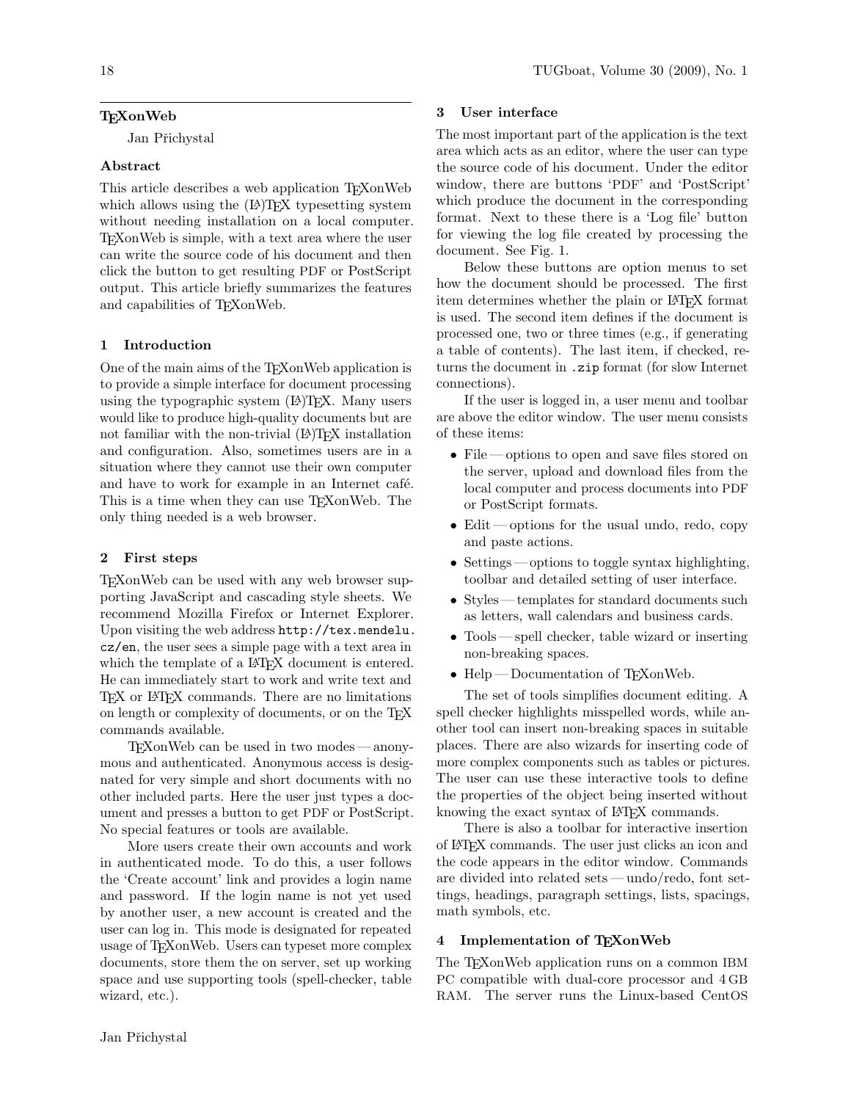# **TEXonWeb**

Jan Přichystal

# Abstract

This article describes a web application TEXonWeb which allows using the  $(A)$ T<sub>E</sub>X typesetting system without needing installation on a local computer. TEXonWeb is simple, with a text area where the user can write the source code of his document and then click the button to get resulting PDF or PostScript output. This article briefly summarizes the features and capabilities of TEXonWeb.

# 1 Introduction

One of the main aims of the T<sub>E</sub>XonWeb application is to provide a simple interface for document processing using the typographic system  $(L^{\Delta})$ T<sub>E</sub>X. Many users would like to produce high-quality documents but are not familiar with the non-trivial (LA)T<sub>E</sub>X installation and configuration. Also, sometimes users are in a situation where they cannot use their own computer and have to work for example in an Internet café. This is a time when they can use T<sub>E</sub>XonWeb. The only thing needed is a web browser.

### 2 First steps

TEXonWeb can be used with any web browser supporting JavaScript and cascading style sheets. We recommend Mozilla Firefox or Internet Explorer. Upon visiting the web address [http://tex.mendelu.](http://tex.mendelu.cz/en) [cz/en](http://tex.mendelu.cz/en), the user sees a simple page with a text area in which the template of a LAT<sub>EX</sub> document is entered. He can immediately start to work and write text and TEX or LATEX commands. There are no limitations on length or complexity of documents, or on the TFX commands available.

TEXonWeb can be used in two modes — anonymous and authenticated. Anonymous access is designated for very simple and short documents with no other included parts. Here the user just types a document and presses a button to get PDF or PostScript. No special features or tools are available.

More users create their own accounts and work in authenticated mode. To do this, a user follows the 'Create account' link and provides a login name and password. If the login name is not yet used by another user, a new account is created and the user can log in. This mode is designated for repeated usage of TEXonWeb. Users can typeset more complex documents, store them the on server, set up working space and use supporting tools (spell-checker, table wizard, etc.).

# 3 User interface

The most important part of the application is the text area which acts as an editor, where the user can type the source code of his document. Under the editor window, there are buttons 'PDF' and 'PostScript' which produce the document in the corresponding format. Next to these there is a 'Log file' button for viewing the log file created by processing the document. See Fig. [1.](#page-1-0)

Below these buttons are option menus to set how the document should be processed. The first item determines whether the plain or LATEX format is used. The second item defines if the document is processed one, two or three times (e.g., if generating a table of contents). The last item, if checked, returns the document in .zip format (for slow Internet connections).

If the user is logged in, a user menu and toolbar are above the editor window. The user menu consists of these items:

- File—options to open and save files stored on the server, upload and download files from the local computer and process documents into PDF or PostScript formats.
- Edit—options for the usual undo, redo, copy and paste actions.
- Settings options to toggle syntax highlighting, toolbar and detailed setting of user interface.
- Styles templates for standard documents such as letters, wall calendars and business cards.
- Tools spell checker, table wizard or inserting non-breaking spaces.
- Help Documentation of T<sub>F</sub>XonWeb.

The set of tools simplifies document editing. A spell checker highlights misspelled words, while another tool can insert non-breaking spaces in suitable places. There are also wizards for inserting code of more complex components such as tables or pictures. The user can use these interactive tools to define the properties of the object being inserted without knowing the exact syntax of LAT<sub>EX</sub> commands.

There is also a toolbar for interactive insertion of LATEX commands. The user just clicks an icon and the code appears in the editor window. Commands are divided into related sets— undo/redo, font settings, headings, paragraph settings, lists, spacings, math symbols, etc.

## 4 Implementation of TFXonWeb

The TEXonWeb application runs on a common IBM PC compatible with dual-core processor and 4 GB RAM. The server runs the Linux-based CentOS